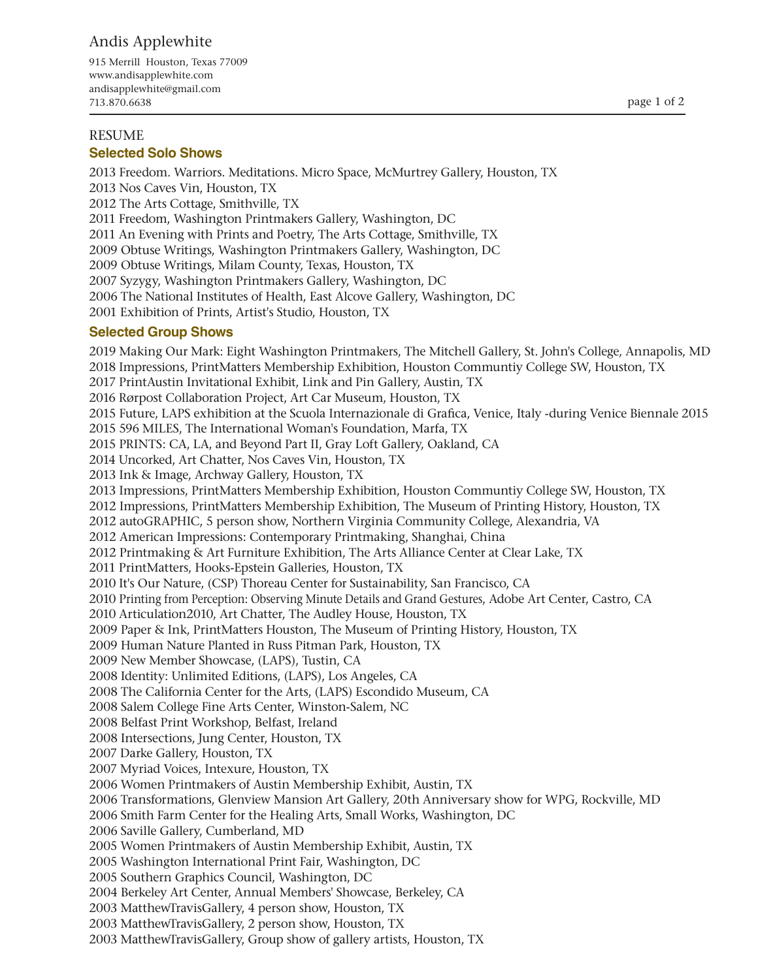# Andis Applewhite

915 Merrill Houston, Texas 77009 www.andisapplewhite.com andisapplewhite@gmail.com 713.870.6638

## RESUME

#### **Selected Solo Shows**

2013 Freedom. Warriors. Meditations. Micro Space, McMurtrey Gallery, Houston, TX 2013 Nos Caves Vin, Houston, TX 2012 The Arts Cottage, Smithville, TX 2011 Freedom, Washington Printmakers Gallery, Washington, DC 2011 An Evening with Prints and Poetry, The Arts Cottage, Smithville, TX 2009 Obtuse Writings, Washington Printmakers Gallery, Washington, DC 2009 Obtuse Writings, Milam County, Texas, Houston, TX 2007 Syzygy, Washington Printmakers Gallery, Washington, DC 2006 The National Institutes of Health, East Alcove Gallery, Washington, DC 2001 Exhibition of Prints, Artist's Studio, Houston, TX

#### **Selected Group Shows**

2019 Making Our Mark: Eight Washington Printmakers, The Mitchell Gallery, St. John's College, Annapolis, MD 2018 Impressions, PrintMatters Membership Exhibition, Houston Communtiy College SW, Houston, TX 2017 PrintAustin Invitational Exhibit, Link and Pin Gallery, Austin, TX 2016 Rørpost Collaboration Project, Art Car Museum, Houston, TX 2015 Future, LAPS exhibition at the Scuola Internazionale di Grafica, Venice, Italy -during Venice Biennale 2015 2015 596 MILES, The International Woman's Foundation, Marfa, TX 2015 PRINTS: CA, LA, and Beyond Part II, Gray Loft Gallery, Oakland, CA 2014 Uncorked, Art Chatter, Nos Caves Vin, Houston, TX 2013 Ink & Image, Archway Gallery, Houston, TX 2013 Impressions, PrintMatters Membership Exhibition, Houston Communtiy College SW, Houston, TX 2012 Impressions, PrintMatters Membership Exhibition, The Museum of Printing History, Houston, TX 2012 autoGRAPHIC, 5 person show, Northern Virginia Community College, Alexandria, VA 2012 American Impressions: Contemporary Printmaking, Shanghai, China 2012 Printmaking & Art Furniture Exhibition, The Arts Alliance Center at Clear Lake, TX 2011 PrintMatters, Hooks-Epstein Galleries, Houston, TX 2010 It's Our Nature, (CSP) Thoreau Center for Sustainability, San Francisco, CA 2010 Printing from Perception: Observing Minute Details and Grand Gestures, Adobe Art Center, Castro, CA 2010 Articulation2010, Art Chatter, The Audley House, Houston, TX 2009 Paper & Ink, PrintMatters Houston, The Museum of Printing History, Houston, TX 2009 Human Nature Planted in Russ Pitman Park, Houston, TX 2009 New Member Showcase, (LAPS), Tustin, CA 2008 Identity: Unlimited Editions, (LAPS), Los Angeles, CA 2008 The California Center for the Arts, (LAPS) Escondido Museum, CA 2008 Salem College Fine Arts Center, Winston-Salem, NC 2008 Belfast Print Workshop, Belfast, Ireland 2008 Intersections, Jung Center, Houston, TX 2007 Darke Gallery, Houston, TX 2007 Myriad Voices, Intexure, Houston, TX 2006 Women Printmakers of Austin Membership Exhibit, Austin, TX 2006 Transformations, Glenview Mansion Art Gallery, 20th Anniversary show for WPG, Rockville, MD 2006 Smith Farm Center for the Healing Arts, Small Works, Washington, DC 2006 Saville Gallery, Cumberland, MD 2005 Women Printmakers of Austin Membership Exhibit, Austin, TX 2005 Washington International Print Fair, Washington, DC 2005 Southern Graphics Council, Washington, DC 2004 Berkeley Art Center, Annual Members' Showcase, Berkeley, CA 2003 MatthewTravisGallery, 4 person show, Houston, TX 2003 MatthewTravisGallery, 2 person show, Houston, TX 2003 MatthewTravisGallery, Group show of gallery artists, Houston, TX